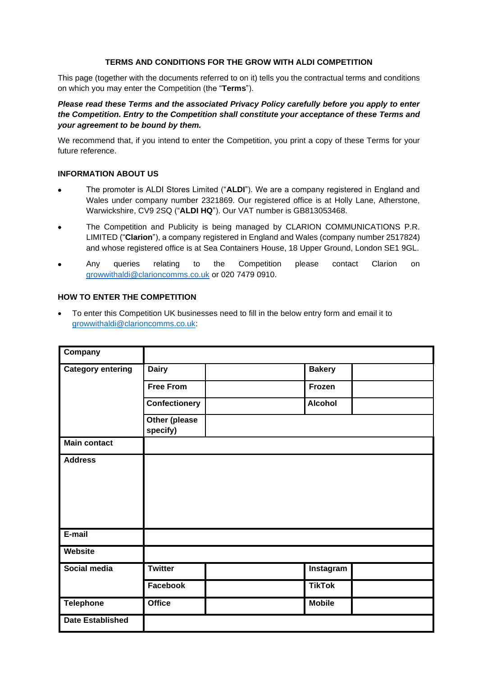### **TERMS AND CONDITIONS FOR THE GROW WITH ALDI COMPETITION**

This page (together with the documents referred to on it) tells you the contractual terms and conditions on which you may enter the Competition (the "**Terms**").

*Please read these Terms and the associated Privacy Policy carefully before you apply to enter the Competition. Entry to the Competition shall constitute your acceptance of these Terms and your agreement to be bound by them.*

We recommend that, if you intend to enter the Competition, you print a copy of these Terms for your future reference.

#### **INFORMATION ABOUT US**

- The promoter is ALDI Stores Limited ("**ALDI**"). We are a company registered in England and Wales under company number 2321869. Our registered office is at Holly Lane, Atherstone, Warwickshire, CV9 2SQ ("**ALDI HQ**"). Our VAT number is GB813053468.
- The Competition and Publicity is being managed by CLARION COMMUNICATIONS P.R. LIMITED ("**Clarion**"), a company registered in England and Wales (company number 2517824) and whose registered office is at Sea Containers House, 18 Upper Ground, London SE1 9GL.
- Any queries relating to the Competition please contact Clarion on [growwithaldi@clarioncomms.co.uk](mailto:growwithaldi@clarioncomms.co.uk) or 020 7479 0910.

# **HOW TO ENTER THE COMPETITION**

• To enter this Competition UK businesses need to fill in the below entry form and email it to [growwithaldi@clarioncomms.co.uk:](mailto:growwithaldi@clarioncomms.co.uk)

| Company                  |                                  |                |  |
|--------------------------|----------------------------------|----------------|--|
| <b>Category entering</b> | <b>Dairy</b>                     | <b>Bakery</b>  |  |
|                          | <b>Free From</b>                 | Frozen         |  |
|                          | <b>Confectionery</b>             | <b>Alcohol</b> |  |
|                          | <b>Other (please</b><br>specify) |                |  |
| <b>Main contact</b>      |                                  |                |  |
| <b>Address</b>           |                                  |                |  |
| E-mail                   |                                  |                |  |
| Website                  |                                  |                |  |
| Social media             | <b>Twitter</b>                   | Instagram      |  |
|                          | Facebook                         | <b>TikTok</b>  |  |
| <b>Telephone</b>         | <b>Office</b>                    | <b>Mobile</b>  |  |
| <b>Date Established</b>  |                                  |                |  |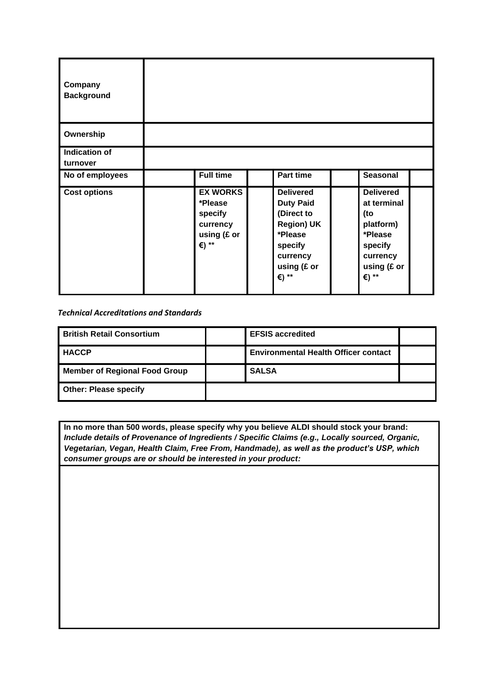| Company<br><b>Background</b>     |                                                                           |                                                                                                                                   |              |                                                                                               |
|----------------------------------|---------------------------------------------------------------------------|-----------------------------------------------------------------------------------------------------------------------------------|--------------|-----------------------------------------------------------------------------------------------|
| Ownership                        |                                                                           |                                                                                                                                   |              |                                                                                               |
| <b>Indication of</b><br>turnover |                                                                           |                                                                                                                                   |              |                                                                                               |
| No of employees                  | <b>Full time</b>                                                          | Part time                                                                                                                         |              | <b>Seasonal</b>                                                                               |
| <b>Cost options</b>              | <b>EX WORKS</b><br>*Please<br>specify<br>currency<br>using (£ or<br>€) ** | <b>Delivered</b><br><b>Duty Paid</b><br>(Direct to<br><b>Region) UK</b><br>*Please<br>specify<br>currency<br>using (£ or<br>€) ** | (to<br>€) ** | <b>Delivered</b><br>at terminal<br>platform)<br>*Please<br>specify<br>currency<br>using (£ or |

*Technical Accreditations and Standards*

| <b>British Retail Consortium</b>     | <b>EFSIS accredited</b>                     |  |
|--------------------------------------|---------------------------------------------|--|
| <b>HACCP</b>                         | <b>Environmental Health Officer contact</b> |  |
| <b>Member of Regional Food Group</b> | <b>SALSA</b>                                |  |
| <b>Other: Please specify</b>         |                                             |  |

**In no more than 500 words, please specify why you believe ALDI should stock your brand:** *Include details of Provenance of Ingredients / Specific Claims (e.g., Locally sourced, Organic, Vegetarian, Vegan, Health Claim, Free From, Handmade), as well as the product's USP, which consumer groups are or should be interested in your product:*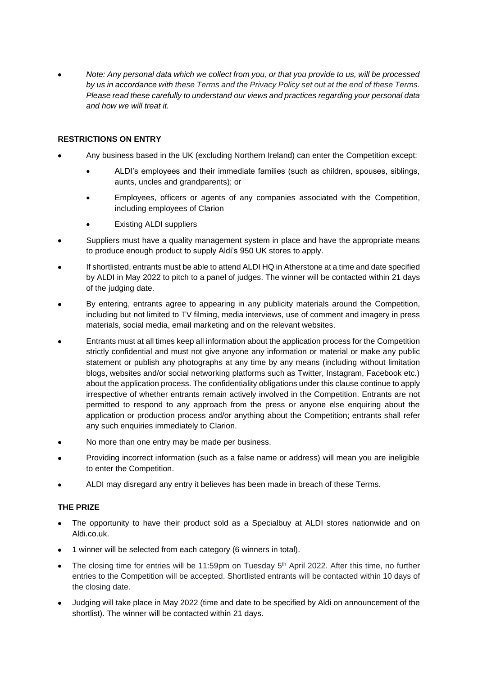• *Note: Any personal data which we collect from you, or that you provide to us, will be processed by us in accordance with these Terms and the Privacy Policy set out at the end of these Terms. Please read these carefully to understand our views and practices regarding your personal data and how we will treat it.*

### **RESTRICTIONS ON ENTRY**

- Any business based in the UK (excluding Northern Ireland) can enter the Competition except:
	- ALDI's employees and their immediate families (such as children, spouses, siblings, aunts, uncles and grandparents); or
	- Employees, officers or agents of any companies associated with the Competition, including employees of Clarion
	- **Existing ALDI suppliers**
- Suppliers must have a quality management system in place and have the appropriate means to produce enough product to supply Aldi's 950 UK stores to apply.
- If shortlisted, entrants must be able to attend ALDI HQ in Atherstone at a time and date specified by ALDI in May 2022 to pitch to a panel of judges. The winner will be contacted within 21 days of the judging date.
- By entering, entrants agree to appearing in any publicity materials around the Competition, including but not limited to TV filming, media interviews, use of comment and imagery in press materials, social media, email marketing and on the relevant websites.
- Entrants must at all times keep all information about the application process for the Competition strictly confidential and must not give anyone any information or material or make any public statement or publish any photographs at any time by any means (including without limitation blogs, websites and/or social networking platforms such as Twitter, Instagram, Facebook etc.) about the application process. The confidentiality obligations under this clause continue to apply irrespective of whether entrants remain actively involved in the Competition. Entrants are not permitted to respond to any approach from the press or anyone else enquiring about the application or production process and/or anything about the Competition; entrants shall refer any such enquiries immediately to Clarion.
- No more than one entry may be made per business.
- Providing incorrect information (such as a false name or address) will mean you are ineligible to enter the Competition.
- ALDI may disregard any entry it believes has been made in breach of these Terms.

# **THE PRIZE**

- The opportunity to have their product sold as a Specialbuy at ALDI stores nationwide and on Aldi.co.uk.
- 1 winner will be selected from each category (6 winners in total).
- The closing time for entries will be 11:59pm on Tuesday  $5<sup>th</sup>$  April 2022. After this time, no further entries to the Competition will be accepted. Shortlisted entrants will be contacted within 10 days of the closing date.
- Judging will take place in May 2022 (time and date to be specified by Aldi on announcement of the shortlist). The winner will be contacted within 21 days.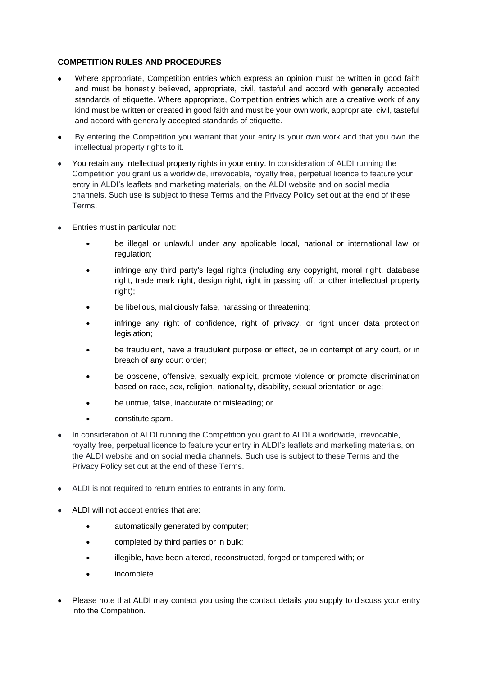## **COMPETITION RULES AND PROCEDURES**

- Where appropriate, Competition entries which express an opinion must be written in good faith and must be honestly believed, appropriate, civil, tasteful and accord with generally accepted standards of etiquette. Where appropriate, Competition entries which are a creative work of any kind must be written or created in good faith and must be your own work, appropriate, civil, tasteful and accord with generally accepted standards of etiquette.
- By entering the Competition you warrant that your entry is your own work and that you own the intellectual property rights to it.
- You retain any intellectual property rights in your entry. In consideration of ALDI running the Competition you grant us a worldwide, irrevocable, royalty free, perpetual licence to feature your entry in ALDI's leaflets and marketing materials, on the ALDI website and on social media channels. Such use is subject to these Terms and the Privacy Policy set out at the end of these Terms.
- Entries must in particular not:
	- be illegal or unlawful under any applicable local, national or international law or regulation:
	- infringe any third party's legal rights (including any copyright, moral right, database right, trade mark right, design right, right in passing off, or other intellectual property right);
	- be libellous, maliciously false, harassing or threatening;
	- infringe any right of confidence, right of privacy, or right under data protection legislation;
	- be fraudulent, have a fraudulent purpose or effect, be in contempt of any court, or in breach of any court order;
	- be obscene, offensive, sexually explicit, promote violence or promote discrimination based on race, sex, religion, nationality, disability, sexual orientation or age;
	- be untrue, false, inaccurate or misleading; or
	- constitute spam.
- In consideration of ALDI running the Competition you grant to ALDI a worldwide, irrevocable, royalty free, perpetual licence to feature your entry in ALDI's leaflets and marketing materials, on the ALDI website and on social media channels. Such use is subject to these Terms and the Privacy Policy set out at the end of these Terms.
- ALDI is not required to return entries to entrants in any form.
- ALDI will not accept entries that are:
	- automatically generated by computer;
	- completed by third parties or in bulk;
	- illegible, have been altered, reconstructed, forged or tampered with; or
	- incomplete.
- Please note that ALDI may contact you using the contact details you supply to discuss your entry into the Competition.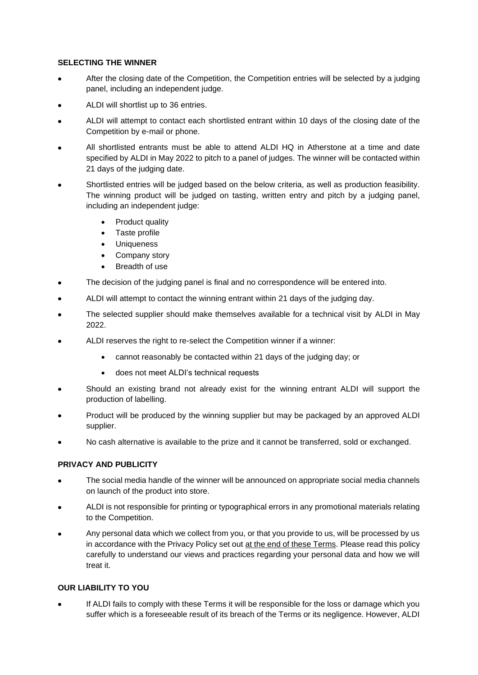### **SELECTING THE WINNER**

- After the closing date of the Competition, the Competition entries will be selected by a judging panel, including an independent judge.
- ALDI will shortlist up to 36 entries.
- ALDI will attempt to contact each shortlisted entrant within 10 days of the closing date of the Competition by e-mail or phone.
- All shortlisted entrants must be able to attend ALDI HQ in Atherstone at a time and date specified by ALDI in May 2022 to pitch to a panel of judges. The winner will be contacted within 21 days of the judging date.
- Shortlisted entries will be judged based on the below criteria, as well as production feasibility. The winning product will be judged on tasting, written entry and pitch by a judging panel, including an independent judge:
	- Product quality
	- Taste profile
	- Uniqueness
	- Company story
	- Breadth of use
- The decision of the judging panel is final and no correspondence will be entered into.
- ALDI will attempt to contact the winning entrant within 21 days of the judging day.
- The selected supplier should make themselves available for a technical visit by ALDI in May 2022.
- ALDI reserves the right to re-select the Competition winner if a winner:
	- cannot reasonably be contacted within 21 days of the judging day; or
	- does not meet ALDI's technical requests
- Should an existing brand not already exist for the winning entrant ALDI will support the production of labelling.
- Product will be produced by the winning supplier but may be packaged by an approved ALDI supplier.
- No cash alternative is available to the prize and it cannot be transferred, sold or exchanged.

#### **PRIVACY AND PUBLICITY**

- The social media handle of the winner will be announced on appropriate social media channels on launch of the product into store.
- ALDI is not responsible for printing or typographical errors in any promotional materials relating to the Competition.
- Any personal data which we collect from you, or that you provide to us, will be processed by us in accordance with the Privacy Policy set out [at the end of these Terms.](http://www.mshare.net/imagegrounds/grounds/Aldi-1/Tell_Aldi_Privacy_Policy.pdf) Please read this policy carefully to understand our views and practices regarding your personal data and how we will treat it.

# **OUR LIABILITY TO YOU**

If ALDI fails to comply with these Terms it will be responsible for the loss or damage which you suffer which is a foreseeable result of its breach of the Terms or its negligence. However, ALDI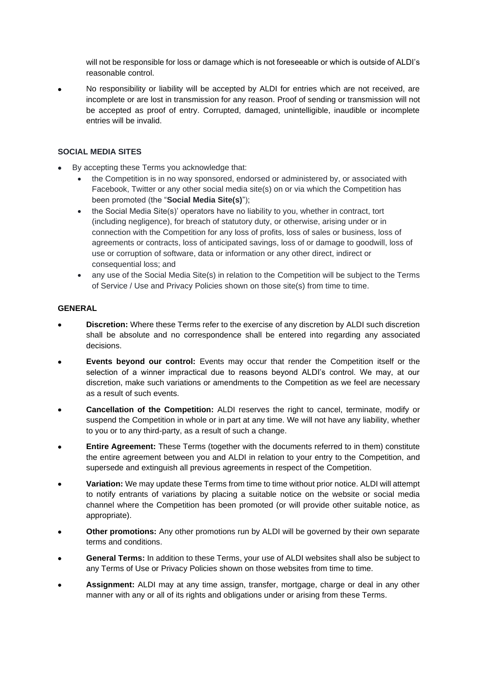will not be responsible for loss or damage which is not foreseeable or which is outside of ALDI's reasonable control.

• No responsibility or liability will be accepted by ALDI for entries which are not received, are incomplete or are lost in transmission for any reason. Proof of sending or transmission will not be accepted as proof of entry. Corrupted, damaged, unintelligible, inaudible or incomplete entries will be invalid.

## **SOCIAL MEDIA SITES**

- By accepting these Terms you acknowledge that:
	- the Competition is in no way sponsored, endorsed or administered by, or associated with Facebook, Twitter or any other social media site(s) on or via which the Competition has been promoted (the "**Social Media Site(s)**");
	- the Social Media Site(s)' operators have no liability to you, whether in contract, tort (including negligence), for breach of statutory duty, or otherwise, arising under or in connection with the Competition for any loss of profits, loss of sales or business, loss of agreements or contracts, loss of anticipated savings, loss of or damage to goodwill, loss of use or corruption of software, data or information or any other direct, indirect or consequential loss; and
	- any use of the Social Media Site(s) in relation to the Competition will be subject to the Terms of Service / Use and Privacy Policies shown on those site(s) from time to time.

#### **GENERAL**

- **Discretion:** Where these Terms refer to the exercise of any discretion by ALDI such discretion shall be absolute and no correspondence shall be entered into regarding any associated decisions.
- **Events beyond our control:** Events may occur that render the Competition itself or the selection of a winner impractical due to reasons beyond ALDI's control. We may, at our discretion, make such variations or amendments to the Competition as we feel are necessary as a result of such events.
- **Cancellation of the Competition:** ALDI reserves the right to cancel, terminate, modify or suspend the Competition in whole or in part at any time. We will not have any liability, whether to you or to any third-party, as a result of such a change.
- **Entire Agreement:** These Terms (together with the documents referred to in them) constitute the entire agreement between you and ALDI in relation to your entry to the Competition, and supersede and extinguish all previous agreements in respect of the Competition.
- **Variation:** We may update these Terms from time to time without prior notice. ALDI will attempt to notify entrants of variations by placing a suitable notice on the website or social media channel where the Competition has been promoted (or will provide other suitable notice, as appropriate).
- **Other promotions:** Any other promotions run by ALDI will be governed by their own separate terms and conditions.
- **General Terms:** In addition to these Terms, your use of ALDI websites shall also be subject to any Terms of Use or Privacy Policies shown on those websites from time to time.
- **Assignment:** ALDI may at any time assign, transfer, mortgage, charge or deal in any other manner with any or all of its rights and obligations under or arising from these Terms.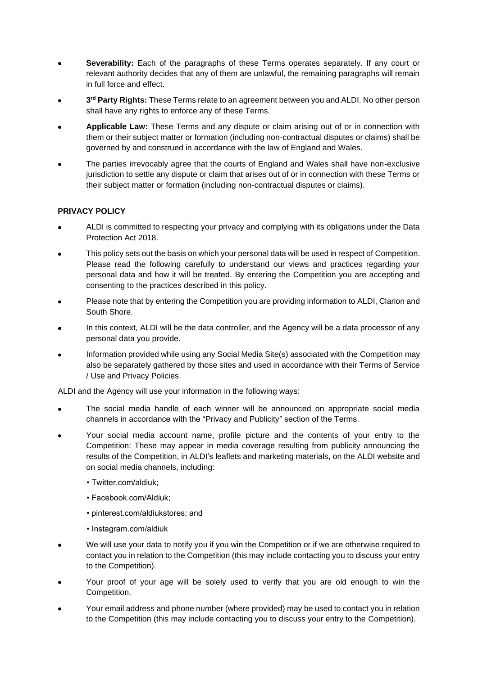- **Severability:** Each of the paragraphs of these Terms operates separately. If any court or relevant authority decides that any of them are unlawful, the remaining paragraphs will remain in full force and effect.
- **3 rd Party Rights:** These Terms relate to an agreement between you and ALDI. No other person shall have any rights to enforce any of these Terms.
- **Applicable Law:** These Terms and any dispute or claim arising out of or in connection with them or their subject matter or formation (including non-contractual disputes or claims) shall be governed by and construed in accordance with the law of England and Wales.
- The parties irrevocably agree that the courts of England and Wales shall have non-exclusive jurisdiction to settle any dispute or claim that arises out of or in connection with these Terms or their subject matter or formation (including non-contractual disputes or claims).

## **PRIVACY POLICY**

- ALDI is committed to respecting your privacy and complying with its obligations under the Data Protection Act 2018.
- This policy sets out the basis on which your personal data will be used in respect of Competition. Please read the following carefully to understand our views and practices regarding your personal data and how it will be treated. By entering the Competition you are accepting and consenting to the practices described in this policy.
- Please note that by entering the Competition you are providing information to ALDI, Clarion and South Shore.
- In this context, ALDI will be the data controller, and the Agency will be a data processor of any personal data you provide.
- Information provided while using any Social Media Site(s) associated with the Competition may also be separately gathered by those sites and used in accordance with their Terms of Service / Use and Privacy Policies.

ALDI and the Agency will use your information in the following ways:

- The social media handle of each winner will be announced on appropriate social media channels in accordance with the "Privacy and Publicity" section of the Terms.
- Your social media account name, profile picture and the contents of your entry to the Competition: These may appear in media coverage resulting from publicity announcing the results of the Competition, in ALDI's leaflets and marketing materials, on the ALDI website and on social media channels, including:
	- Twitter.com/aldiuk;
	- Facebook.com/Aldiuk;
	- pinterest.com/aldiukstores; and
	- Instagram.com/aldiuk
- We will use your data to notify you if you win the Competition or if we are otherwise required to contact you in relation to the Competition (this may include contacting you to discuss your entry to the Competition).
- Your proof of your age will be solely used to verify that you are old enough to win the Competition.
- Your email address and phone number (where provided) may be used to contact you in relation to the Competition (this may include contacting you to discuss your entry to the Competition).